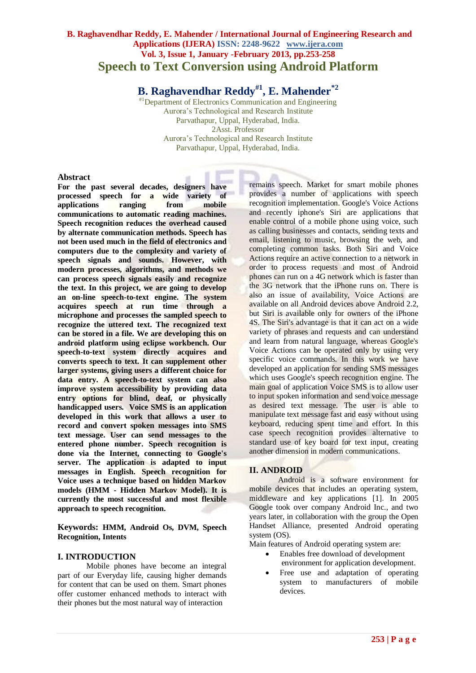# **B. Raghavendhar Reddy, E. Mahender / International Journal of Engineering Research and Applications (IJERA) ISSN: 2248-9622 www.ijera.com Vol. 3, Issue 1, January -February 2013, pp.253-258 Speech to Text Conversion using Android Platform**

**B. Raghavendhar Reddy#1, E. Mahender\*2**

#1Department of Electronics Communication and Engineering Aurora's Technological and Research Institute Parvathapur, Uppal, Hyderabad, India. 2Asst. Professor Aurora's Technological and Research Institute Parvathapur, Uppal, Hyderabad, India.

#### **Abstract**

**For the past several decades, designers have processed speech for a wide variety of applications communications to automatic reading machines. Speech recognition reduces the overhead caused by alternate communication methods. Speech has not been used much in the field of electronics and computers due to the complexity and variety of speech signals and sounds. However, with modern processes, algorithms, and methods we can process speech signals easily and recognize the text. In this project, we are going to develop an on-line speech-to-text engine. The system acquires speech at run time through a microphone and processes the sampled speech to recognize the uttered text. The recognized text can be stored in a file. We are developing this on android platform using eclipse workbench. Our speech-to-text system directly acquires and converts speech to text. It can supplement other larger systems, giving users a different choice for data entry. A speech-to-text system can also improve system accessibility by providing data entry options for blind, deaf, or physically handicapped users. Voice SMS is an application developed in this work that allows a user to record and convert spoken messages into SMS text message. User can send messages to the entered phone number. Speech recognition is done via the Internet, connecting to Google's server. The application is adapted to input messages in English. Speech recognition for Voice uses a technique based on hidden Markov models (HMM - Hidden Markov Model). It is currently the most successful and most flexible approach to speech recognition.**

**Keywords: HMM, Android Os, DVM, Speech Recognition, Intents**

#### **I. INTRODUCTION**

Mobile phones have become an integral part of our Everyday life, causing higher demands for content that can be used on them. Smart phones offer customer enhanced methods to interact with their phones but the most natural way of interaction

remains speech. Market for smart mobile phones provides a number of applications with speech recognition implementation. Google's Voice Actions and recently iphone's Siri are applications that enable control of a mobile phone using voice, such as calling businesses and contacts, sending texts and email, listening to music, browsing the web, and completing common tasks. Both Siri and Voice Actions require an active connection to a network in order to process requests and most of Android phones can run on a 4G network which is faster than the 3G network that the iPhone runs on. There is also an issue of availability, Voice Actions are available on all Android devices above Android 2.2, but Siri is available only for owners of the iPhone 4S. The Siri's advantage is that it can act on a wide variety of phrases and requests and can understand and learn from natural language, whereas Google's Voice Actions can be operated only by using very specific voice commands. In this work we have developed an application for sending SMS messages which uses Google's speech recognition engine. The main goal of application Voice SMS is to allow user to input spoken information and send voice message as desired text message. The user is able to manipulate text message fast and easy without using keyboard, reducing spent time and effort. In this case speech recognition provides alternative to standard use of key board for text input, creating another dimension in modern communications.

### **II. ANDROID**

Android is a software environment for mobile devices that includes an operating system. middleware and key applications [1]. In 2005 Google took over company Android Inc., and two years later, in collaboration with the group the Open Handset Alliance, presented Android operating system (OS).

Main features of Android operating system are:

- Enables free download of development environment for application development.
- Free use and adaptation of operating system to manufacturers of mobile devices.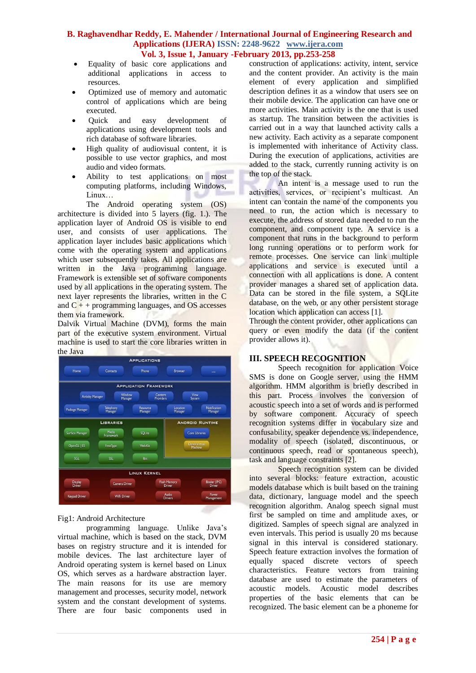- Equality of basic core applications and additional applications in access to resources.
- Optimized use of memory and automatic control of applications which are being executed.
- Quick and easy development of applications using development tools and rich database of software libraries.
- High quality of audiovisual content, it is possible to use vector graphics, and most audio and video formats.
- Ability to test applications on most computing platforms, including Windows, Linux…

The Android operating system (OS) architecture is divided into 5 layers (fig. 1.). The application layer of Android OS is visible to end user, and consists of user applications. The application layer includes basic applications which come with the operating system and applications which user subsequently takes. All applications are written in the Java programming language. Framework is extensible set of software components used by all applications in the operating system. The next layer represents the libraries, written in the C and  $C_{+}$  + programming languages, and OS accesses them via framework.

Dalvik Virtual Machine (DVM), forms the main part of the executive system environment. Virtual machine is used to start the core libraries written in the Java



### Fig1: Android Architecture

programming language. Unlike Java's virtual machine, which is based on the stack, DVM bases on registry structure and it is intended for mobile devices. The last architecture layer of Android operating system is kernel based on Linux OS, which serves as a hardware abstraction layer. The main reasons for its use are memory management and processes, security model, network system and the constant development of systems. There are four basic components used in

construction of applications: activity, intent, service and the content provider. An activity is the main element of every application and simplified description defines it as a window that users see on their mobile device. The application can have one or more activities. Main activity is the one that is used as startup. The transition between the activities is carried out in a way that launched activity calls a new activity. Each activity as a separate component is implemented with inheritance of Activity class. During the execution of applications, activities are added to the stack, currently running activity is on the top of the stack.

An intent is a message used to run the activities, services, or recipient's multicast. An intent can contain the name of the components you need to run, the action which is necessary to execute, the address of stored data needed to run the component, and component type. A service is a component that runs in the background to perform long running operations or to perform work for remote processes. One service can link multiple applications and service is executed until a connection with all applications is done. A content provider manages a shared set of application data. Data can be stored in the file system, a SQLite database, on the web, or any other persistent storage location which application can access [1].

Through the content provider, other applications can query or even modify the data (if the content provider allows it).

## **III. SPEECH RECOGNITION**

Speech recognition for application Voice SMS is done on Google server, using the HMM algorithm. HMM algorithm is briefly described in this part. Process involves the conversion of acoustic speech into a set of words and is performed by software component. Accuracy of speech recognition systems differ in vocabulary size and confusability, speaker dependence vs. independence, modality of speech (isolated, discontinuous, or continuous speech, read or spontaneous speech), task and language constraints [2].

Speech recognition system can be divided into several blocks: feature extraction, acoustic models database which is built based on the training data, dictionary, language model and the speech recognition algorithm. Analog speech signal must first be sampled on time and amplitude axes, or digitized. Samples of speech signal are analyzed in even intervals. This period is usually 20 ms because signal in this interval is considered stationary. Speech feature extraction involves the formation of equally spaced discrete vectors of speech characteristics. Feature vectors from training database are used to estimate the parameters of acoustic models. Acoustic model describes properties of the basic elements that can be recognized. The basic element can be a phoneme for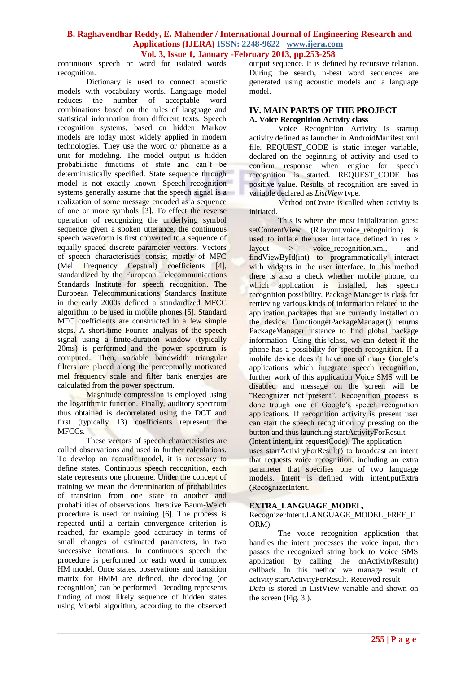continuous speech or word for isolated words recognition.

Dictionary is used to connect acoustic models with vocabulary words. Language model reduces the number of acceptable word combinations based on the rules of language and statistical information from different texts. Speech recognition systems, based on hidden Markov models are today most widely applied in modern technologies. They use the word or phoneme as a unit for modeling. The model output is hidden probabilistic functions of state and can't be deterministically specified. State sequence through model is not exactly known. Speech recognition systems generally assume that the speech signal is a realization of some message encoded as a sequence of one or more symbols [3]. To effect the reverse operation of recognizing the underlying symbol sequence given a spoken utterance, the continuous speech waveform is first converted to a sequence of equally spaced discrete parameter vectors. Vectors of speech characteristics consist mostly of MFC (Mel Frequency Cepstral) coefficients [4], standardized by the European Telecommunications Standards Institute for speech recognition. The European Telecommunications Standards Institute in the early 2000s defined a standardized MFCC algorithm to be used in mobile phones [5]. Standard MFC coefficients are constructed in a few simple steps. A short-time Fourier analysis of the speech signal using a finite-duration window (typically 20ms) is performed and the power spectrum is computed. Then, variable bandwidth triangular filters are placed along the perceptually motivated mel frequency scale and filter bank energies are calculated from the power spectrum.

Magnitude compression is employed using the logarithmic function. Finally, auditory spectrum thus obtained is decorrelated using the DCT and first (typically 13) coefficients represent the MFCCs.

These vectors of speech characteristics are called observations and used in further calculations. To develop an acoustic model, it is necessary to define states. Continuous speech recognition, each state represents one phoneme. Under the concept of training we mean the determination of probabilities of transition from one state to another and probabilities of observations. Iterative Baum-Welch procedure is used for training [6]. The process is repeated until a certain convergence criterion is reached, for example good accuracy in terms of small changes of estimated parameters, in two successive iterations. In continuous speech the procedure is performed for each word in complex HM model. Once states, observations and transition matrix for HMM are defined, the decoding (or recognition) can be performed. Decoding represents finding of most likely sequence of hidden states using Viterbi algorithm, according to the observed

output sequence. It is defined by recursive relation. During the search, n-best word sequences are generated using acoustic models and a language model.

#### **IV. MAIN PARTS OF THE PROJECT A. Voice Recognition Activity class**

Voice Recognition Activity is startup activity defined as launcher in AndroidManifest.xml file. REQUEST CODE is static integer variable, declared on the beginning of activity and used to confirm response when engine for speech recognition is started. REQUEST\_CODE has positive value. Results of recognition are saved in variable declared as *ListView* type.

Method onCreate is called when activity is initiated.

This is where the most initialization goes: setContentView (R.layout.voice\_recognition) is used to inflate the user interface defined in res > layout > voice\_recognition.xml, and findViewById(int) to programmatically interact with widgets in the user interface. In this method there is also a check whether mobile phone, on which application is installed, has speech recognition possibility. Package Manager is class for retrieving various kinds of information related to the application packages that are currently installed on the device. FunctiongetPackageManager() returns PackageManager instance to find global package information. Using this class, we can detect if the phone has a possibility for speech recognition. If a mobile device doesn't have one of many Google's applications which integrate speech recognition, further work of this application Voice SMS will be disabled and message on the screen will be "Recognizer not present". Recognition process is done trough one of Google's speech recognition applications. If recognition activity is present user can start the speech recognition by pressing on the button and thus launching startActivityForResult (Intent intent, int requestCode). The application

uses startActivityForResult() to broadcast an intent that requests voice recognition, including an extra parameter that specifies one of two language models. Intent is defined with intent.putExtra (RecognizerIntent.

#### **EXTRA\_LANGUAGE\_MODEL,**

RecognizerIntent.LANGUAGE\_MODEL\_FREE\_F ORM).

The voice recognition application that handles the intent processes the voice input, then passes the recognized string back to Voice SMS application by calling the onActivityResult() callback. In this method we manage result of activity startActivityForResult. Received result

*Data* is stored in ListView variable and shown on the screen (Fig. 3.).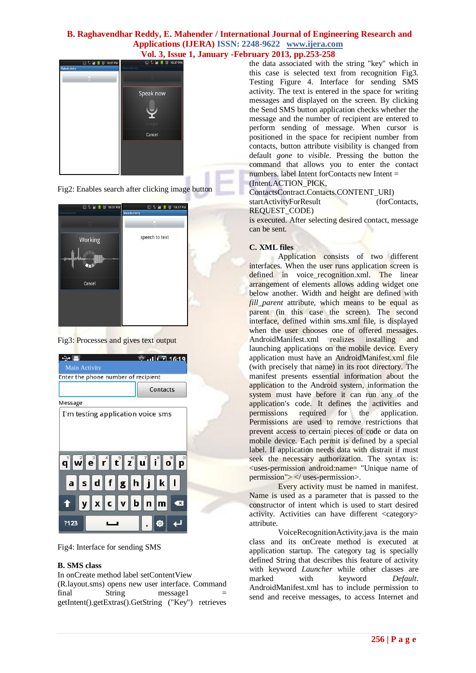

Fig2: Enables search after clicking image button





| ↔ ≞                                 | $\hat{ }$ all $\hat{ }$ 16:19 |
|-------------------------------------|-------------------------------|
| Main Activity                       |                               |
| Enter the phone number of recipient |                               |
|                                     | Contacts                      |
| Message                             |                               |
| I'm testing application voice sms   |                               |
|                                     |                               |
|                                     | asdfghjki                     |
| tyxcvbnm                            | $\bullet$                     |
| ?123                                | .o                            |

Fig4: Interface for sending SMS

#### **B. SMS class**

In onCreate method label setContentView (R.layout.sms) opens new user interface. Command<br>final String message1 =  $final$  String message1  $=$ getIntent().getExtras().GetString ("Key") retrieves the data associated with the string "key" which in this case is selected text from recognition Fig3. Testing Figure 4. Interface for sending SMS activity. The text is entered in the space for writing messages and displayed on the screen. By clicking the Send SMS button application checks whether the message and the number of recipient are entered to perform sending of message. When cursor is positioned in the space for recipient number from contacts, button attribute visibility is changed from default *gone* to *visible*. Pressing the button the command that allows you to enter the contact numbers. label Intent forContacts new Intent =

(Intent.ACTION\_PICK, ContactsContract.Contacts.CONTENT\_URI) startActivityForResult (forContacts,

REQUEST\_CODE)

is executed. After selecting desired contact, message can be sent.

#### **C. XML files**

Application consists of two different interfaces. When the user runs application screen is defined in voice\_recognition.xml. The linear arrangement of elements allows adding widget one below another. Width and height are defined with *fill parent* attribute, which means to be equal as parent (in this case the screen). The second interface, defined within sms.xml file, is displayed when the user chooses one of offered messages. AndroidManifest.xml realizes installing and launching applications on the mobile device. Every application must have an AndroidManifest.xml file (with precisely that name) in its root directory. The manifest presents essential information about the application to the Android system, information the system must have before it can run any of the application's code. It defines the activities and permissions required for the application. Permissions are used to remove restrictions that prevent access to certain pieces of code or data on mobile device. Each permit is defined by a special label. If application needs data with distrait if must seek the necessary authorization. The syntax is: <uses-permission android:name= "Unique name of permission"> </ uses-permission>.

Every activity must be named in manifest. Name is used as a parameter that is passed to the constructor of intent which is used to start desired activity. Activities can have different <category> attribute.

VoiceRecognitionActivity.java is the main class and its onCreate method is executed at application startup. The category tag is specially defined String that describes this feature of activity with keyword *Launcher* while other classes are marked with keyword *Default*. AndroidManifest.xml has to include permission to send and receive messages, to access Internet and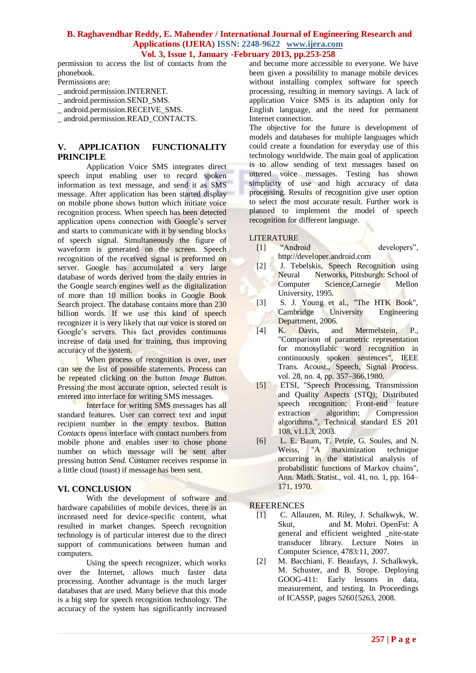permission to access the list of contacts from the phonebook.

Permissions are:

- \_ android.permission.INTERNET.
- \_ android.permission.SEND\_SMS.
- \_ android.permission.RECEIVE\_SMS.
- \_ android.permission.READ\_CONTACTS.

### **V. APPLICATION FUNCTIONALITY PRINCIPLE**

Application Voice SMS integrates direct speech input enabling user to record spoken information as text message, and send it as SMS message. After application has been started display on mobile phone shows button which initiate voice recognition process. When speech has been detected application opens connection with Google's server and starts to communicate with it by sending blocks of speech signal. Simultaneously the figure of waveform is generated on the screen. Speech recognition of the received signal is preformed on server. Google has accumulated a very large database of words derived from the daily entries in the Google search engines well as the digitalization of more than 10 million books in Google Book Search project. The database contains more than 230 billion words. If we use this kind of speech recognizer it is very likely that our voice is stored on Google's servers. This fact provides continuous increase of data used for training, thus improving accuracy of the system.

When process of recognition is over, user can see the list of possible statements. Process can be repeated clicking on the button *Image Button*. Pressing the most accurate option, selected result is entered into interface for writing SMS messages.

Interface for writing SMS messages has all standard features. User can correct text and input recipient number in the empty textbox. Button *Contacts* opens interface with contact numbers from mobile phone and enables user to chose phone number on which message will be sent after pressing button *Send.* Customer receives response in a little cloud (toast) if message has been sent.

### **VI. CONCLUSION**

With the development of software and hardware capabilities of mobile devices, there is an increased need for device-specific content, what resulted in market changes. Speech recognition technology is of particular interest due to the direct support of communications between human and computers.

Using the speech recognizer, which works over the Internet, allows much faster data processing. Another advantage is the much larger databases that are used. Many believe that this mode is a big step for speech recognition technology. The accuracy of the system has significantly increased

and become more accessible to everyone. We have been given a possibility to manage mobile devices without installing complex software for speech processing, resulting in memory savings. A lack of application Voice SMS is its adaption only for English language, and the need for permanent Internet connection.

The objective for the future is development of models and databases for multiple languages which could create a foundation for everyday use of this technology worldwide. The main goal of application is to allow sending of text messages based on uttered voice messages. Testing has shown simplicity of use and high accuracy of data processing. Results of recognition give user option to select the most accurate result. Further work is planned to implement the model of speech recognition for different language.

#### LITERATURE

- [1] "Android developers", http://developer.android.com
- [2] J. Tebelskis, Speech Recognition using Neural Networks, Pittsburgh: School of Computer Science,Carnegie Mellon University, 1995.
- [3] S. J. Young et al., "The HTK Book", Cambridge University Engineering Department, 2006.
- [4] K. Davis, and Mermelstein, P., "Comparison of parametric representation for monosyllabic word recognition in continuously spoken sentences", IEEE Trans. Acoust., Speech, Signal Process. vol. 28, no. 4, pp. 357–366,1980.
- [5] ETSI, "Speech Processing, Transmission and Quality Aspects (STQ); Distributed speech recognition; Front-end feature extraction algorithm; Compression algorithms.", Technical standard ES 201 108, v1.1.3, 2003.
- [6] L. E. Baum, T. Petrie, G. Soules, and N. Weiss, "A maximization technique occurring in the statistical analysis of probabilistic functions of Markov chains", Ann. Math. Statist., vol. 41, no. 1, pp. 164– 171, 1970.

**REFERENCES** 

- [1] C. Allauzen, M. Riley, J. Schalkwyk, W. Skut, and M. Mohri. OpenFst: A general and efficient weighted \_nite-state transducer library. Lecture Notes in Computer Science, 4783:11, 2007.
- [2] M. Bacchiani, F. Beaufays, J. Schalkwyk, M. Schuster, and B. Strope. Deploying GOOG-411: Early lessons in data, measurement, and testing. In Proceedings of ICASSP, pages 5260{5263, 2008.